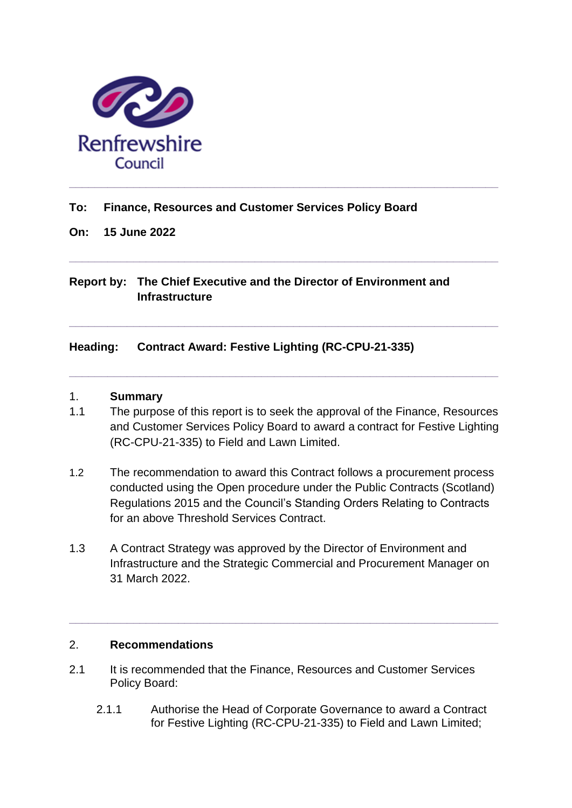

### **To: Finance, Resources and Customer Services Policy Board**

**On: 15 June 2022**

# **Report by: The Chief Executive and the Director of Environment and Infrastructure**

**\_\_\_\_\_\_\_\_\_\_\_\_\_\_\_\_\_\_\_\_\_\_\_\_\_\_\_\_\_\_\_\_\_\_\_\_\_\_\_\_\_\_\_\_\_\_\_\_\_\_\_\_\_\_\_\_\_\_\_\_\_\_\_\_\_\_\_**

**\_\_\_\_\_\_\_\_\_\_\_\_\_\_\_\_\_\_\_\_\_\_\_\_\_\_\_\_\_\_\_\_\_\_\_\_\_\_\_\_\_\_\_\_\_\_\_\_\_\_\_\_\_\_\_\_\_\_\_\_\_\_\_\_\_\_\_**

**\_\_\_\_\_\_\_\_\_\_\_\_\_\_\_\_\_\_\_\_\_\_\_\_\_\_\_\_\_\_\_\_\_\_\_\_\_\_\_\_\_\_\_\_\_\_\_\_\_\_\_\_\_\_\_\_\_\_\_\_\_\_\_\_\_\_\_**

### **Heading: Contract Award: Festive Lighting (RC-CPU-21-335)**

#### 1. **Summary**

- 1.1 The purpose of this report is to seek the approval of the Finance, Resources and Customer Services Policy Board to award a contract for Festive Lighting (RC-CPU-21-335) to Field and Lawn Limited.
- 1.2 The recommendation to award this Contract follows a procurement process conducted using the Open procedure under the Public Contracts (Scotland) Regulations 2015 and the Council's Standing Orders Relating to Contracts for an above Threshold Services Contract.
- 1.3 A Contract Strategy was approved by the Director of Environment and Infrastructure and the Strategic Commercial and Procurement Manager on 31 March 2022.

**\_\_\_\_\_\_\_\_\_\_\_\_\_\_\_\_\_\_\_\_\_\_\_\_\_\_\_\_\_\_\_\_\_\_\_\_\_\_\_\_\_\_\_\_\_\_\_\_\_\_\_\_\_\_\_\_\_\_\_\_\_\_\_\_\_\_\_**

#### 2. **Recommendations**

- 2.1 It is recommended that the Finance, Resources and Customer Services Policy Board:
	- 2.1.1 Authorise the Head of Corporate Governance to award a Contract for Festive Lighting (RC-CPU-21-335) to Field and Lawn Limited;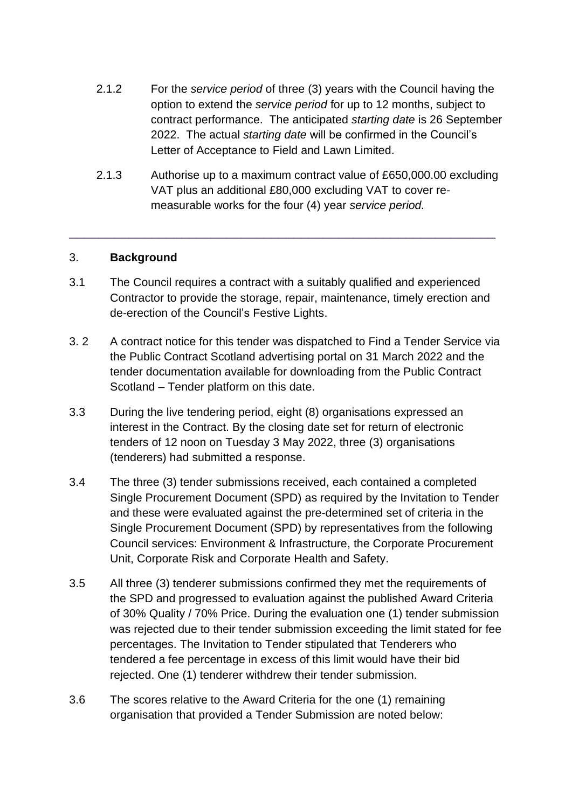- 2.1.2 For the *service period* of three (3) years with the Council having the option to extend the *service period* for up to 12 months, subject to contract performance. The anticipated *starting date* is 26 September 2022. The actual *starting date* will be confirmed in the Council's Letter of Acceptance to Field and Lawn Limited.
- 2.1.3 Authorise up to a maximum contract value of £650,000.00 excluding VAT plus an additional £80,000 excluding VAT to cover remeasurable works for the four (4) year *service period.*

### 3. **Background**

3.1 The Council requires a contract with a suitably qualified and experienced Contractor to provide the storage, repair, maintenance, timely erection and de-erection of the Council's Festive Lights.

\_\_\_\_\_\_\_\_\_\_\_\_\_\_\_\_\_\_\_\_\_\_\_\_\_\_\_\_\_\_\_\_\_\_\_\_\_\_\_\_\_\_\_\_\_\_\_\_\_\_\_\_\_\_\_\_\_

- 3. 2 A contract notice for this tender was dispatched to Find a Tender Service via the Public Contract Scotland advertising portal on 31 March 2022 and the tender documentation available for downloading from the Public Contract Scotland – Tender platform on this date.
- 3.3 During the live tendering period, eight (8) organisations expressed an interest in the Contract. By the closing date set for return of electronic tenders of 12 noon on Tuesday 3 May 2022, three (3) organisations (tenderers) had submitted a response.
- 3.4 The three (3) tender submissions received, each contained a completed Single Procurement Document (SPD) as required by the Invitation to Tender and these were evaluated against the pre-determined set of criteria in the Single Procurement Document (SPD) by representatives from the following Council services: Environment & Infrastructure, the Corporate Procurement Unit, Corporate Risk and Corporate Health and Safety.
- 3.5 All three (3) tenderer submissions confirmed they met the requirements of the SPD and progressed to evaluation against the published Award Criteria of 30% Quality / 70% Price. During the evaluation one (1) tender submission was rejected due to their tender submission exceeding the limit stated for fee percentages. The Invitation to Tender stipulated that Tenderers who tendered a fee percentage in excess of this limit would have their bid rejected. One (1) tenderer withdrew their tender submission.
- 3.6 The scores relative to the Award Criteria for the one (1) remaining organisation that provided a Tender Submission are noted below: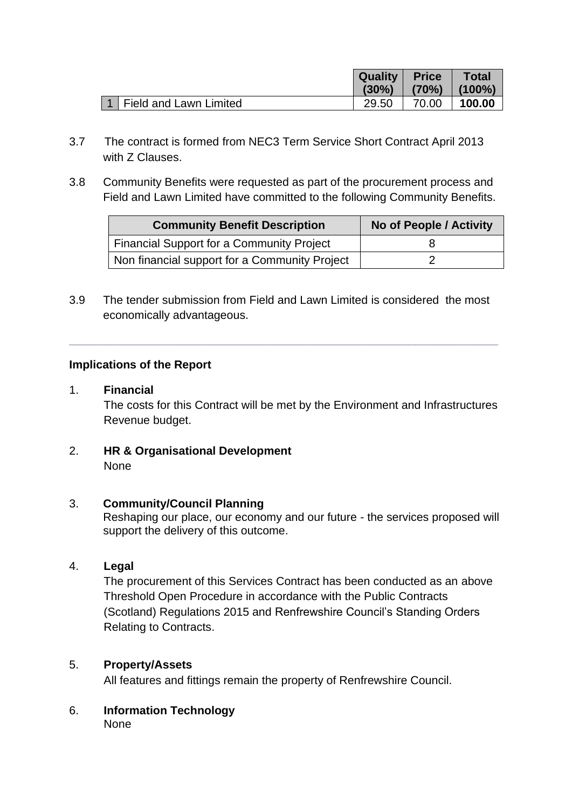|                            | <b>Quality Price</b> |                             | <b>Total</b> |
|----------------------------|----------------------|-----------------------------|--------------|
|                            |                      | $(30\%)$ $(70\%)$ $(100\%)$ |              |
| 1   Field and Lawn Limited | 29.50                | 70.00                       | 100.00       |

- 3.7 The contract is formed from NEC3 Term Service Short Contract April 2013 with **7** Clauses.
- 3.8 Community Benefits were requested as part of the procurement process and Field and Lawn Limited have committed to the following Community Benefits.

| <b>Community Benefit Description</b>             | No of People / Activity |  |
|--------------------------------------------------|-------------------------|--|
| <b>Financial Support for a Community Project</b> |                         |  |
| Non financial support for a Community Project    |                         |  |

3.9 The tender submission from Field and Lawn Limited is considered the most economically advantageous.

**\_\_\_\_\_\_\_\_\_\_\_\_\_\_\_\_\_\_\_\_\_\_\_\_\_\_\_\_\_\_\_\_\_\_\_\_\_\_\_\_\_\_\_\_\_\_\_\_\_\_\_\_\_\_\_\_\_\_\_\_\_\_\_\_\_\_\_**

### **Implications of the Report**

### 1. **Financial**

The costs for this Contract will be met by the Environment and Infrastructures Revenue budget.

2. **HR & Organisational Development** None

### 3. **Community/Council Planning**

Reshaping our place, our economy and our future - the services proposed will support the delivery of this outcome.

### 4. **Legal**

The procurement of this Services Contract has been conducted as an above Threshold Open Procedure in accordance with the Public Contracts (Scotland) Regulations 2015 and Renfrewshire Council's Standing Orders Relating to Contracts.

### 5. **Property/Assets**

All features and fittings remain the property of Renfrewshire Council.

6. **Information Technology** None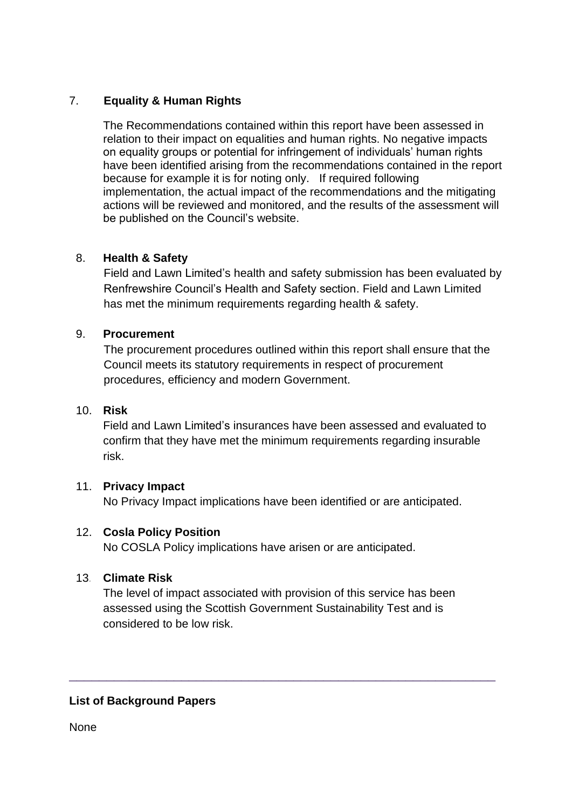# 7. **Equality & Human Rights**

The Recommendations contained within this report have been assessed in relation to their impact on equalities and human rights. No negative impacts on equality groups or potential for infringement of individuals' human rights have been identified arising from the recommendations contained in the report because for example it is for noting only. If required following implementation, the actual impact of the recommendations and the mitigating actions will be reviewed and monitored, and the results of the assessment will be published on the Council's website.

## 8. **Health & Safety**

Field and Lawn Limited's health and safety submission has been evaluated by Renfrewshire Council's Health and Safety section. Field and Lawn Limited has met the minimum requirements regarding health & safety.

## 9. **Procurement**

The procurement procedures outlined within this report shall ensure that the Council meets its statutory requirements in respect of procurement procedures, efficiency and modern Government.

### 10. **Risk**

Field and Lawn Limited's insurances have been assessed and evaluated to confirm that they have met the minimum requirements regarding insurable risk.

## 11. **Privacy Impact**

No Privacy Impact implications have been identified or are anticipated.

### 12. **Cosla Policy Position**

No COSLA Policy implications have arisen or are anticipated.

### 13*.* **Climate Risk**

The level of impact associated with provision of this service has been assessed using the Scottish Government Sustainability Test and is considered to be low risk.

\_\_\_\_\_\_\_\_\_\_\_\_\_\_\_\_\_\_\_\_\_\_\_\_\_\_\_\_\_\_\_\_\_\_\_\_\_\_\_\_\_\_\_\_\_\_\_\_\_\_\_\_\_\_\_\_\_

## **List of Background Papers**

**None**